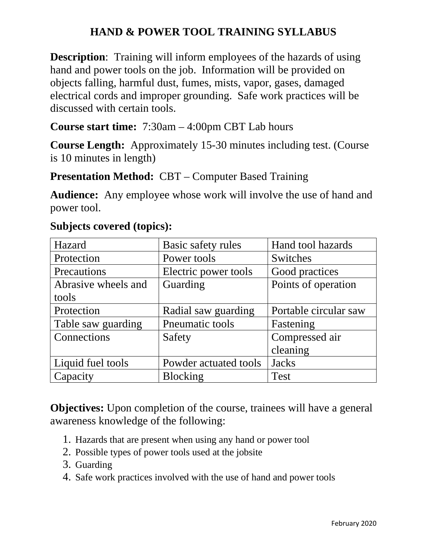## **HAND & POWER TOOL TRAINING SYLLABUS**

**Description**: Training will inform employees of the hazards of using hand and power tools on the job. Information will be provided on objects falling, harmful dust, fumes, mists, vapor, gases, damaged electrical cords and improper grounding. Safe work practices will be discussed with certain tools.

**Course start time:** 7:30am – 4:00pm CBT Lab hours

**Course Length:** Approximately 15-30 minutes including test. (Course is 10 minutes in length)

**Presentation Method: CBT – Computer Based Training** 

**Audience:** Any employee whose work will involve the use of hand and power tool.

| Hazard              | Basic safety rules    | Hand tool hazards     |
|---------------------|-----------------------|-----------------------|
| Protection          | Power tools           | Switches              |
| Precautions         | Electric power tools  | Good practices        |
| Abrasive wheels and | Guarding              | Points of operation   |
| tools               |                       |                       |
| Protection          | Radial saw guarding   | Portable circular saw |
| Table saw guarding  | Pneumatic tools       | Fastening             |
| Connections         | Safety                | Compressed air        |
|                     |                       | cleaning              |
| Liquid fuel tools   | Powder actuated tools | <b>Jacks</b>          |
| Capacity            | <b>Blocking</b>       | <b>Test</b>           |

## **Subjects covered (topics):**

**Objectives:** Upon completion of the course, trainees will have a general awareness knowledge of the following:

- 1. Hazards that are present when using any hand or power tool
- 2. Possible types of power tools used at the jobsite
- 3. Guarding
- 4. Safe work practices involved with the use of hand and power tools